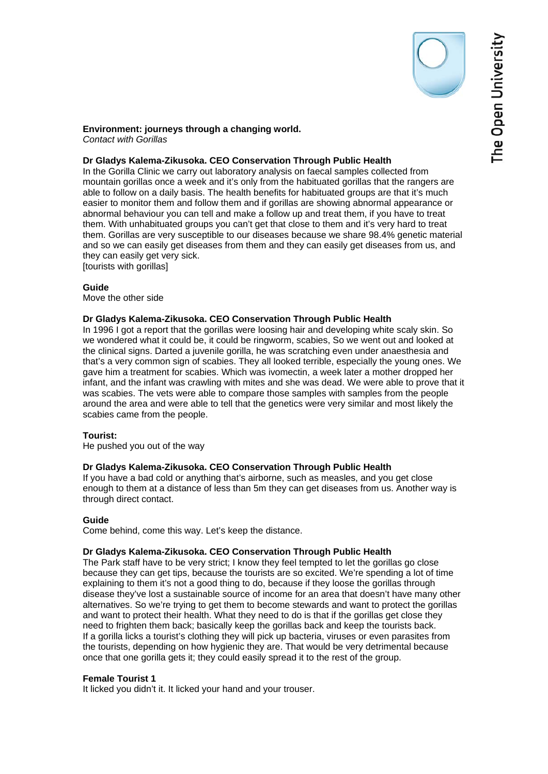### **Environment: journeys through a changing world.**  *Contact with Gorillas*

# **Dr Gladys Kalema-Zikusoka. CEO Conservation Through Public Health**

In the Gorilla Clinic we carry out laboratory analysis on faecal samples collected from mountain gorillas once a week and it's only from the habituated gorillas that the rangers are able to follow on a daily basis. The health benefits for habituated groups are that it's much easier to monitor them and follow them and if gorillas are showing abnormal appearance or abnormal behaviour you can tell and make a follow up and treat them, if you have to treat them. With unhabituated groups you can't get that close to them and it's very hard to treat them. Gorillas are very susceptible to our diseases because we share 98.4% genetic material and so we can easily get diseases from them and they can easily get diseases from us, and they can easily get very sick. [tourists with gorillas]

## **Guide**

Move the other side

# **Dr Gladys Kalema-Zikusoka. CEO Conservation Through Public Health**

In 1996 I got a report that the gorillas were loosing hair and developing white scaly skin. So we wondered what it could be, it could be ringworm, scabies, So we went out and looked at the clinical signs. Darted a juvenile gorilla, he was scratching even under anaesthesia and that's a very common sign of scabies. They all looked terrible, especially the young ones. We gave him a treatment for scabies. Which was ivomectin, a week later a mother dropped her infant, and the infant was crawling with mites and she was dead. We were able to prove that it was scabies. The vets were able to compare those samples with samples from the people around the area and were able to tell that the genetics were very similar and most likely the scabies came from the people.

# **Tourist:**

He pushed you out of the way

# **Dr Gladys Kalema-Zikusoka. CEO Conservation Through Public Health**

If you have a bad cold or anything that's airborne, such as measles, and you get close enough to them at a distance of less than 5m they can get diseases from us. Another way is through direct contact.

# **Guide**

Come behind, come this way. Let's keep the distance.

# **Dr Gladys Kalema-Zikusoka. CEO Conservation Through Public Health**

The Park staff have to be very strict; I know they feel tempted to let the gorillas go close because they can get tips, because the tourists are so excited. We're spending a lot of time explaining to them it's not a good thing to do, because if they loose the gorillas through disease they've lost a sustainable source of income for an area that doesn't have many other alternatives. So we're trying to get them to become stewards and want to protect the gorillas and want to protect their health. What they need to do is that if the gorillas get close they need to frighten them back; basically keep the gorillas back and keep the tourists back. If a gorilla licks a tourist's clothing they will pick up bacteria, viruses or even parasites from the tourists, depending on how hygienic they are. That would be very detrimental because once that one gorilla gets it; they could easily spread it to the rest of the group.

## **Female Tourist 1**

It licked you didn't it. It licked your hand and your trouser.